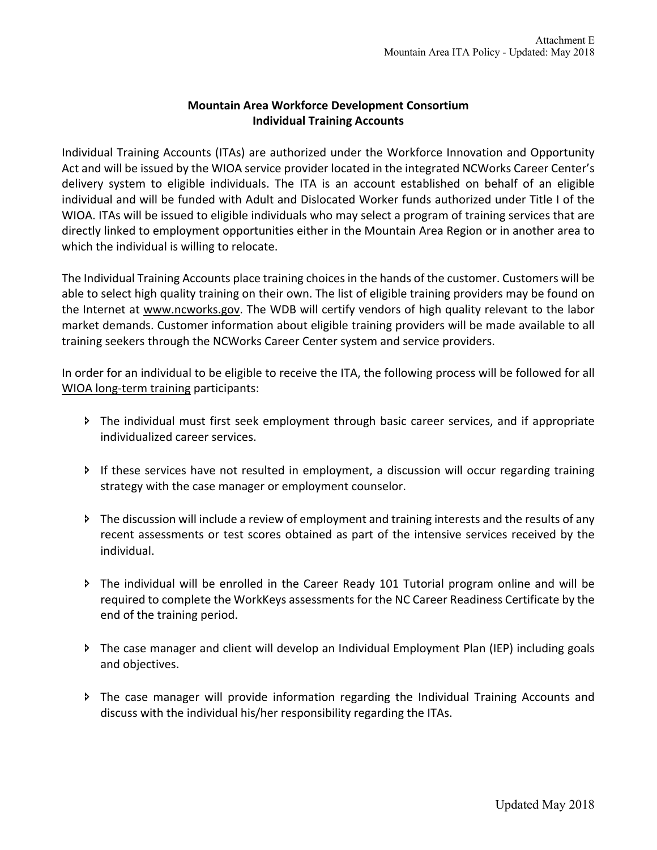## **Mountain Area Workforce Development Consortium Individual Training Accounts**

Individual Training Accounts (ITAs) are authorized under the Workforce Innovation and Opportunity Act and will be issued by the WIOA service provider located in the integrated NCWorks Career Center's delivery system to eligible individuals. The ITA is an account established on behalf of an eligible individual and will be funded with Adult and Dislocated Worker funds authorized under Title I of the WIOA. ITAs will be issued to eligible individuals who may select a program of training services that are directly linked to employment opportunities either in the Mountain Area Region or in another area to which the individual is willing to relocate.

The Individual Training Accounts place training choices in the hands of the customer. Customers will be able to select high quality training on their own. The list of eligible training providers may be found on the Internet at www.ncworks.gov. The WDB will certify vendors of high quality relevant to the labor market demands. Customer information about eligible training providers will be made available to all training seekers through the NCWorks Career Center system and service providers.

In order for an individual to be eligible to receive the ITA, the following process will be followed for all WIOA long-term training participants:

- î The individual must first seek employment through basic career services, and if appropriate individualized career services.
- î If these services have not resulted in employment, a discussion will occur regarding training strategy with the case manager or employment counselor.
- î The discussion will include a review of employment and training interests and the results of any recent assessments or test scores obtained as part of the intensive services received by the individual.
- î The individual will be enrolled in the Career Ready 101 Tutorial program online and will be required to complete the WorkKeys assessments for the NC Career Readiness Certificate by the end of the training period.
- î The case manager and client will develop an Individual Employment Plan (IEP) including goals and objectives.
- î The case manager will provide information regarding the Individual Training Accounts and discuss with the individual his/her responsibility regarding the ITAs.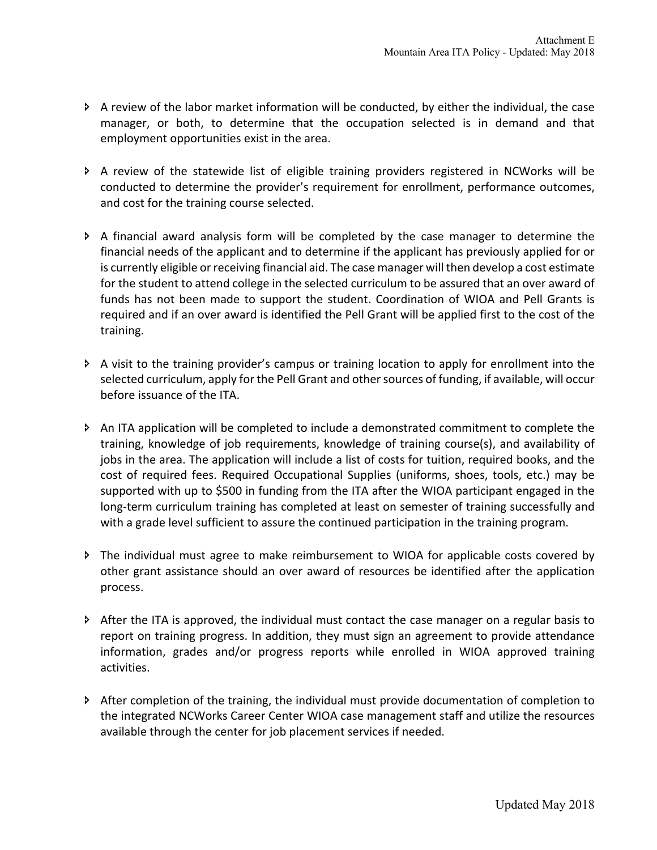- $\triangleright$  A review of the labor market information will be conducted, by either the individual, the case manager, or both, to determine that the occupation selected is in demand and that employment opportunities exist in the area.
- î A review of the statewide list of eligible training providers registered in NCWorks will be conducted to determine the provider's requirement for enrollment, performance outcomes, and cost for the training course selected.
- $\triangleright$  A financial award analysis form will be completed by the case manager to determine the financial needs of the applicant and to determine if the applicant has previously applied for or is currently eligible or receiving financial aid. The case manager will then develop a cost estimate for the student to attend college in the selected curriculum to be assured that an over award of funds has not been made to support the student. Coordination of WIOA and Pell Grants is required and if an over award is identified the Pell Grant will be applied first to the cost of the training.
- î A visit to the training provider's campus or training location to apply for enrollment into the selected curriculum, apply for the Pell Grant and other sources of funding, if available, will occur before issuance of the ITA.
- $\triangleright$  An ITA application will be completed to include a demonstrated commitment to complete the training, knowledge of job requirements, knowledge of training course(s), and availability of jobs in the area. The application will include a list of costs for tuition, required books, and the cost of required fees. Required Occupational Supplies (uniforms, shoes, tools, etc.) may be supported with up to \$500 in funding from the ITA after the WIOA participant engaged in the long-term curriculum training has completed at least on semester of training successfully and with a grade level sufficient to assure the continued participation in the training program.
- î The individual must agree to make reimbursement to WIOA for applicable costs covered by other grant assistance should an over award of resources be identified after the application process.
- $\triangleright$  After the ITA is approved, the individual must contact the case manager on a regular basis to report on training progress. In addition, they must sign an agreement to provide attendance information, grades and/or progress reports while enrolled in WIOA approved training activities.
- î After completion of the training, the individual must provide documentation of completion to the integrated NCWorks Career Center WIOA case management staff and utilize the resources available through the center for job placement services if needed.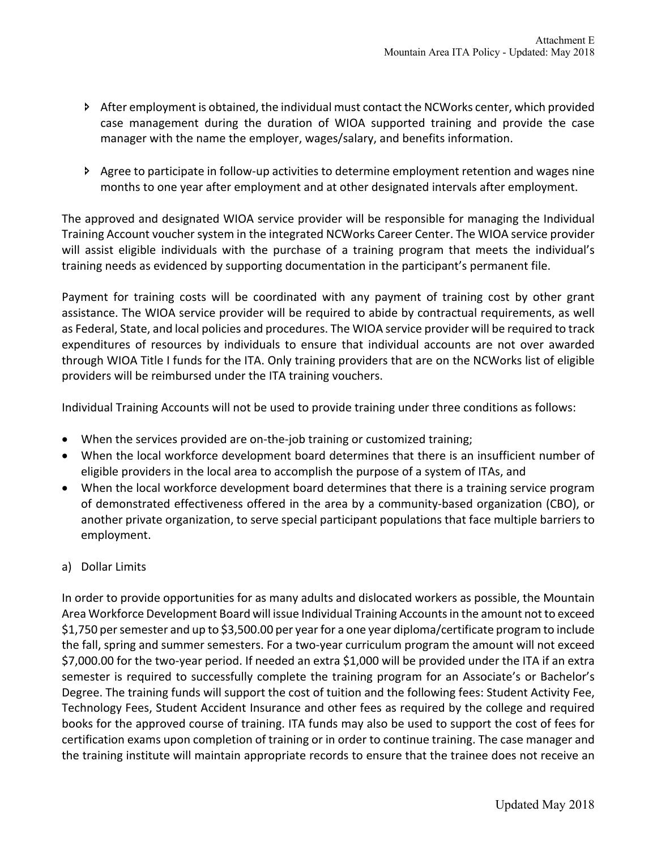- $\triangleright$  After employment is obtained, the individual must contact the NCWorks center, which provided case management during the duration of WIOA supported training and provide the case manager with the name the employer, wages/salary, and benefits information.
- î Agree to participate in follow-up activities to determine employment retention and wages nine months to one year after employment and at other designated intervals after employment.

The approved and designated WIOA service provider will be responsible for managing the Individual Training Account voucher system in the integrated NCWorks Career Center. The WIOA service provider will assist eligible individuals with the purchase of a training program that meets the individual's training needs as evidenced by supporting documentation in the participant's permanent file.

Payment for training costs will be coordinated with any payment of training cost by other grant assistance. The WIOA service provider will be required to abide by contractual requirements, as well as Federal, State, and local policies and procedures. The WIOA service provider will be required to track expenditures of resources by individuals to ensure that individual accounts are not over awarded through WIOA Title I funds for the ITA. Only training providers that are on the NCWorks list of eligible providers will be reimbursed under the ITA training vouchers.

Individual Training Accounts will not be used to provide training under three conditions as follows:

- When the services provided are on-the-job training or customized training;
- When the local workforce development board determines that there is an insufficient number of eligible providers in the local area to accomplish the purpose of a system of ITAs, and
- When the local workforce development board determines that there is a training service program of demonstrated effectiveness offered in the area by a community-based organization (CBO), or another private organization, to serve special participant populations that face multiple barriers to employment.
- a) Dollar Limits

In order to provide opportunities for as many adults and dislocated workers as possible, the Mountain Area Workforce Development Board will issue Individual Training Accounts in the amount not to exceed \$1,750 per semester and up to \$3,500.00 per year for a one year diploma/certificate program to include the fall, spring and summer semesters. For a two-year curriculum program the amount will not exceed \$7,000.00 for the two-year period. If needed an extra \$1,000 will be provided under the ITA if an extra semester is required to successfully complete the training program for an Associate's or Bachelor's Degree. The training funds will support the cost of tuition and the following fees: Student Activity Fee, Technology Fees, Student Accident Insurance and other fees as required by the college and required books for the approved course of training. ITA funds may also be used to support the cost of fees for certification exams upon completion of training or in order to continue training. The case manager and the training institute will maintain appropriate records to ensure that the trainee does not receive an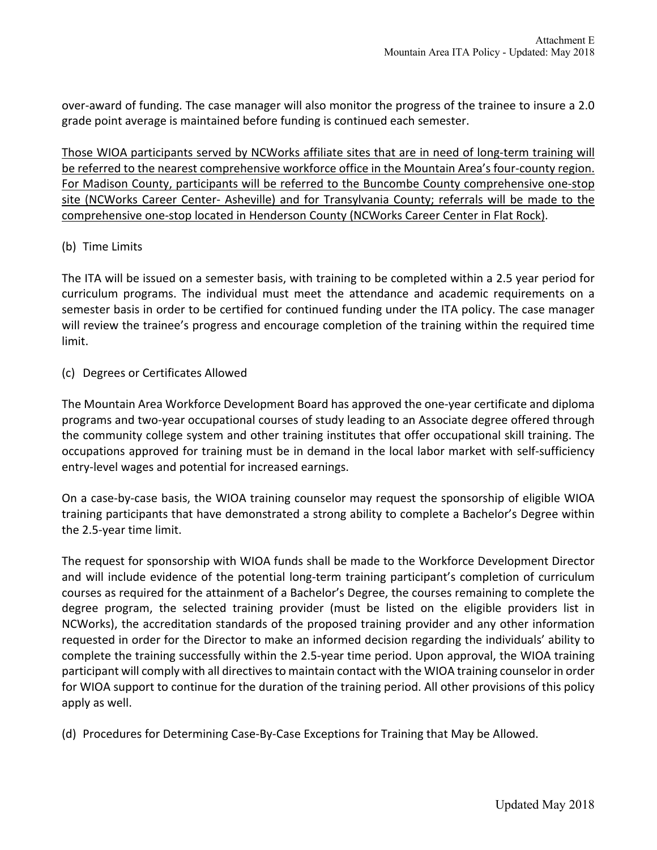over-award of funding. The case manager will also monitor the progress of the trainee to insure a 2.0 grade point average is maintained before funding is continued each semester.

Those WIOA participants served by NCWorks affiliate sites that are in need of long-term training will be referred to the nearest comprehensive workforce office in the Mountain Area's four-county region. For Madison County, participants will be referred to the Buncombe County comprehensive one-stop site (NCWorks Career Center- Asheville) and for Transylvania County; referrals will be made to the comprehensive one-stop located in Henderson County (NCWorks Career Center in Flat Rock).

## (b) Time Limits

The ITA will be issued on a semester basis, with training to be completed within a 2.5 year period for curriculum programs. The individual must meet the attendance and academic requirements on a semester basis in order to be certified for continued funding under the ITA policy. The case manager will review the trainee's progress and encourage completion of the training within the required time limit.

(c) Degrees or Certificates Allowed

The Mountain Area Workforce Development Board has approved the one-year certificate and diploma programs and two-year occupational courses of study leading to an Associate degree offered through the community college system and other training institutes that offer occupational skill training. The occupations approved for training must be in demand in the local labor market with self-sufficiency entry-level wages and potential for increased earnings.

On a case-by-case basis, the WIOA training counselor may request the sponsorship of eligible WIOA training participants that have demonstrated a strong ability to complete a Bachelor's Degree within the 2.5-year time limit.

The request for sponsorship with WIOA funds shall be made to the Workforce Development Director and will include evidence of the potential long-term training participant's completion of curriculum courses as required for the attainment of a Bachelor's Degree, the courses remaining to complete the degree program, the selected training provider (must be listed on the eligible providers list in NCWorks), the accreditation standards of the proposed training provider and any other information requested in order for the Director to make an informed decision regarding the individuals' ability to complete the training successfully within the 2.5-year time period. Upon approval, the WIOA training participant will comply with all directives to maintain contact with the WIOA training counselor in order for WIOA support to continue for the duration of the training period. All other provisions of this policy apply as well.

(d) Procedures for Determining Case-By-Case Exceptions for Training that May be Allowed.